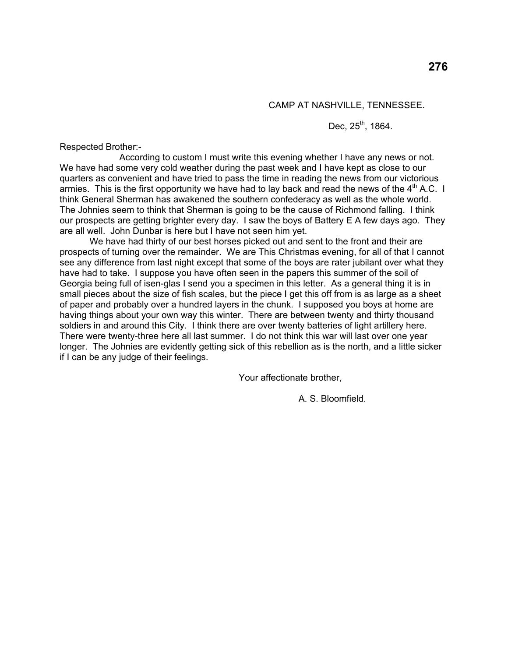# CAMP AT NASHVILLE, TENNESSEE.

Dec,  $25^{th}$ , 1864.

Respected Brother:-

 According to custom I must write this evening whether I have any news or not. We have had some very cold weather during the past week and I have kept as close to our quarters as convenient and have tried to pass the time in reading the news from our victorious armies. This is the first opportunity we have had to lay back and read the news of the  $4<sup>th</sup>$  A.C. I think General Sherman has awakened the southern confederacy as well as the whole world. The Johnies seem to think that Sherman is going to be the cause of Richmond falling. I think our prospects are getting brighter every day. I saw the boys of Battery E A few days ago. They are all well. John Dunbar is here but I have not seen him yet.

 We have had thirty of our best horses picked out and sent to the front and their are prospects of turning over the remainder. We are This Christmas evening, for all of that I cannot see any difference from last night except that some of the boys are rater jubilant over what they have had to take. I suppose you have often seen in the papers this summer of the soil of Georgia being full of isen-glas I send you a specimen in this letter. As a general thing it is in small pieces about the size of fish scales, but the piece I get this off from is as large as a sheet of paper and probably over a hundred layers in the chunk. I supposed you boys at home are having things about your own way this winter. There are between twenty and thirty thousand soldiers in and around this City. I think there are over twenty batteries of light artillery here. There were twenty-three here all last summer. I do not think this war will last over one year longer. The Johnies are evidently getting sick of this rebellion as is the north, and a little sicker if I can be any judge of their feelings.

Your affectionate brother,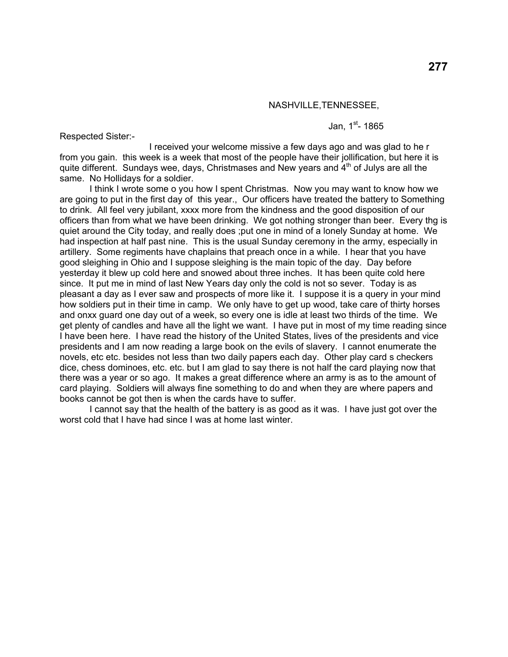### NASHVILLE,TENNESSEE,

Respected Sister:-

Jan.  $1^{st}$ - 1865

 I received your welcome missive a few days ago and was glad to he r from you gain. this week is a week that most of the people have their jollification, but here it is quite different. Sundays wee, days, Christmases and New years and  $4<sup>th</sup>$  of Julys are all the same. No Hollidays for a soldier.

 I think I wrote some o you how I spent Christmas. Now you may want to know how we are going to put in the first day of this year., Our officers have treated the battery to Something to drink. All feel very jubilant, xxxx more from the kindness and the good disposition of our officers than from what we have been drinking. We got nothing stronger than beer. Every thg is quiet around the City today, and really does ;put one in mind of a lonely Sunday at home. We had inspection at half past nine. This is the usual Sunday ceremony in the army, especially in artillery. Some regiments have chaplains that preach once in a while. I hear that you have good sleighing in Ohio and I suppose sleighing is the main topic of the day. Day before yesterday it blew up cold here and snowed about three inches. It has been quite cold here since. It put me in mind of last New Years day only the cold is not so sever. Today is as pleasant a day as I ever saw and prospects of more like it. I suppose it is a query in your mind how soldiers put in their time in camp. We only have to get up wood, take care of thirty horses and onxx guard one day out of a week, so every one is idle at least two thirds of the time. We get plenty of candles and have all the light we want. I have put in most of my time reading since I have been here. I have read the history of the United States, lives of the presidents and vice presidents and I am now reading a large book on the evils of slavery. I cannot enumerate the novels, etc etc. besides not less than two daily papers each day. Other play card s checkers dice, chess dominoes, etc. etc. but I am glad to say there is not half the card playing now that there was a year or so ago. It makes a great difference where an army is as to the amount of card playing. Soldiers will always fine something to do and when they are where papers and books cannot be got then is when the cards have to suffer.

 I cannot say that the health of the battery is as good as it was. I have just got over the worst cold that I have had since I was at home last winter.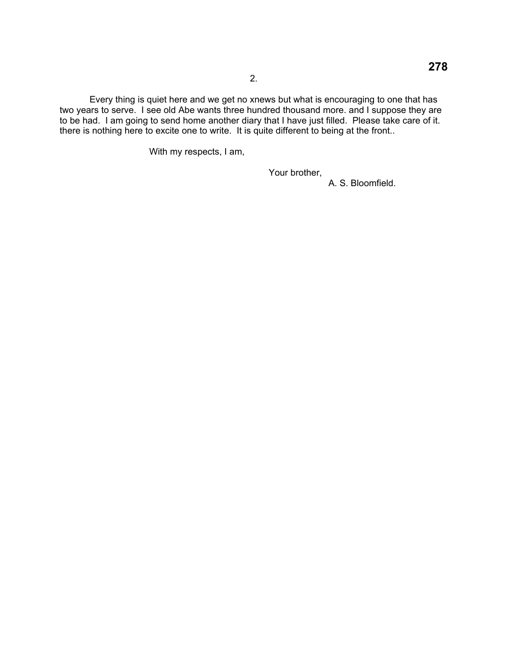Every thing is quiet here and we get no xnews but what is encouraging to one that has two years to serve. I see old Abe wants three hundred thousand more. and I suppose they are to be had. I am going to send home another diary that I have just filled. Please take care of it. there is nothing here to excite one to write. It is quite different to being at the front..

With my respects, I am,

Your brother,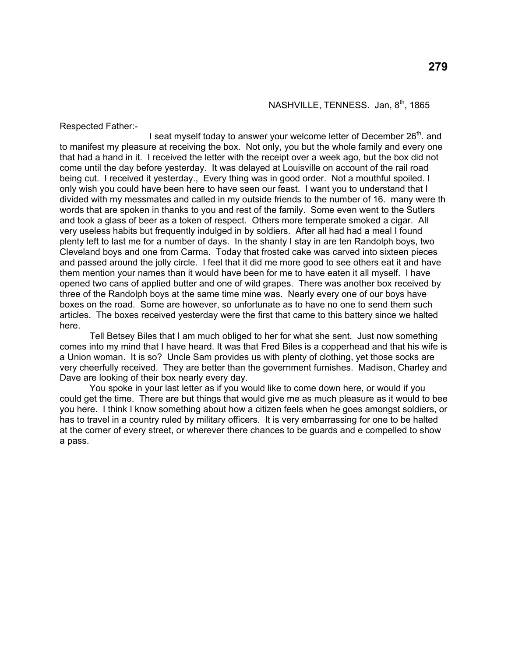Respected Father:-

I seat myself today to answer your welcome letter of December 26<sup>th</sup>. and to manifest my pleasure at receiving the box. Not only, you but the whole family and every one that had a hand in it. I received the letter with the receipt over a week ago, but the box did not come until the day before yesterday. It was delayed at Louisville on account of the rail road being cut. I received it yesterday., Every thing was in good order. Not a mouthful spoiled. I only wish you could have been here to have seen our feast. I want you to understand that I divided with my messmates and called in my outside friends to the number of 16. many were th words that are spoken in thanks to you and rest of the family. Some even went to the Sutlers and took a glass of beer as a token of respect. Others more temperate smoked a cigar. All very useless habits but frequently indulged in by soldiers. After all had had a meal I found plenty left to last me for a number of days. In the shanty I stay in are ten Randolph boys, two Cleveland boys and one from Carma. Today that frosted cake was carved into sixteen pieces and passed around the jolly circle. I feel that it did me more good to see others eat it and have them mention your names than it would have been for me to have eaten it all myself. I have opened two cans of applied butter and one of wild grapes. There was another box received by three of the Randolph boys at the same time mine was. Nearly every one of our boys have boxes on the road. Some are however, so unfortunate as to have no one to send them such articles. The boxes received yesterday were the first that came to this battery since we halted here.

 Tell Betsey Biles that I am much obliged to her for what she sent. Just now something comes into my mind that I have heard. It was that Fred Biles is a copperhead and that his wife is a Union woman. It is so? Uncle Sam provides us with plenty of clothing, yet those socks are very cheerfully received. They are better than the government furnishes. Madison, Charley and Dave are looking of their box nearly every day.

 You spoke in your last letter as if you would like to come down here, or would if you could get the time. There are but things that would give me as much pleasure as it would to bee you here. I think I know something about how a citizen feels when he goes amongst soldiers, or has to travel in a country ruled by military officers. It is very embarrassing for one to be halted at the corner of every street, or wherever there chances to be guards and e compelled to show a pass.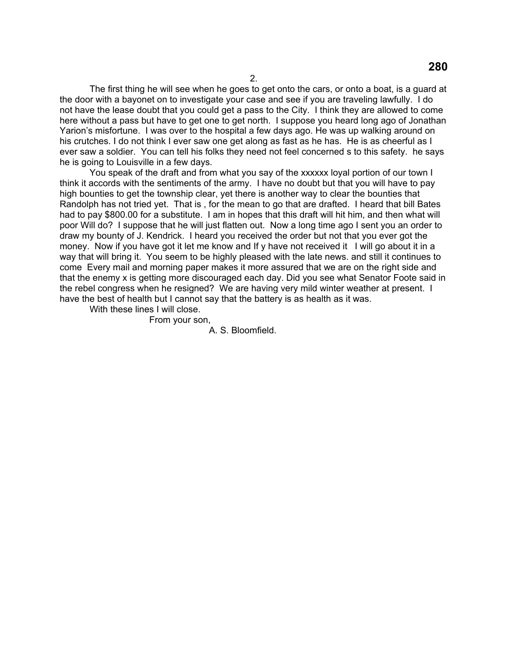The first thing he will see when he goes to get onto the cars, or onto a boat, is a guard at the door with a bayonet on to investigate your case and see if you are traveling lawfully. I do not have the lease doubt that you could get a pass to the City. I think they are allowed to come here without a pass but have to get one to get north. I suppose you heard long ago of Jonathan Yarion's misfortune. I was over to the hospital a few days ago. He was up walking around on his crutches. I do not think I ever saw one get along as fast as he has. He is as cheerful as I ever saw a soldier. You can tell his folks they need not feel concerned s to this safety. he says he is going to Louisville in a few days.

 You speak of the draft and from what you say of the xxxxxx loyal portion of our town I think it accords with the sentiments of the army. I have no doubt but that you will have to pay high bounties to get the township clear, yet there is another way to clear the bounties that Randolph has not tried yet. That is , for the mean to go that are drafted. I heard that bill Bates had to pay \$800.00 for a substitute. I am in hopes that this draft will hit him, and then what will poor Will do? I suppose that he will just flatten out. Now a long time ago I sent you an order to draw my bounty of J. Kendrick. I heard you received the order but not that you ever got the money. Now if you have got it let me know and If y have not received it I will go about it in a way that will bring it. You seem to be highly pleased with the late news. and still it continues to come Every mail and morning paper makes it more assured that we are on the right side and that the enemy x is getting more discouraged each day. Did you see what Senator Foote said in the rebel congress when he resigned? We are having very mild winter weather at present. I have the best of health but I cannot say that the battery is as health as it was.

With these lines I will close.

From your son,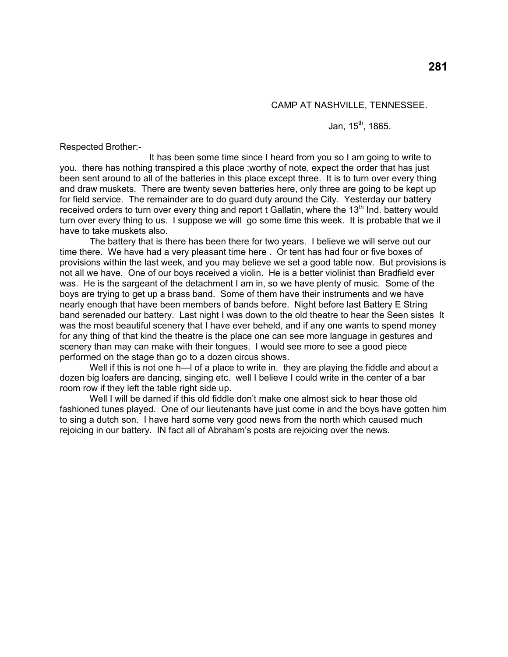# CAMP AT NASHVILLE, TENNESSEE.

# Jan,  $15^{th}$ , 1865.

Respected Brother:-

 It has been some time since I heard from you so I am going to write to you. there has nothing transpired a this place ;worthy of note, expect the order that has just been sent around to all of the batteries in this place except three. It is to turn over every thing and draw muskets. There are twenty seven batteries here, only three are going to be kept up for field service. The remainder are to do guard duty around the City. Yesterday our battery received orders to turn over every thing and report t Gallatin, where the 13<sup>th</sup> Ind. battery would turn over every thing to us. I suppose we will go some time this week. It is probable that we il have to take muskets also.

 The battery that is there has been there for two years. I believe we will serve out our time there. We have had a very pleasant time here . Or tent has had four or five boxes of provisions within the last week, and you may believe we set a good table now. But provisions is not all we have. One of our boys received a violin. He is a better violinist than Bradfield ever was. He is the sargeant of the detachment I am in, so we have plenty of music. Some of the boys are trying to get up a brass band. Some of them have their instruments and we have nearly enough that have been members of bands before. Night before last Battery E String band serenaded our battery. Last night I was down to the old theatre to hear the Seen sistes It was the most beautiful scenery that I have ever beheld, and if any one wants to spend money for any thing of that kind the theatre is the place one can see more language in gestures and scenery than may can make with their tongues. I would see more to see a good piece performed on the stage than go to a dozen circus shows.

Well if this is not one h—I of a place to write in. they are playing the fiddle and about a dozen big loafers are dancing, singing etc. well I believe I could write in the center of a bar room row if they left the table right side up.

 Well I will be darned if this old fiddle don't make one almost sick to hear those old fashioned tunes played. One of our lieutenants have just come in and the boys have gotten him to sing a dutch son. I have hard some very good news from the north which caused much rejoicing in our battery. IN fact all of Abraham's posts are rejoicing over the news.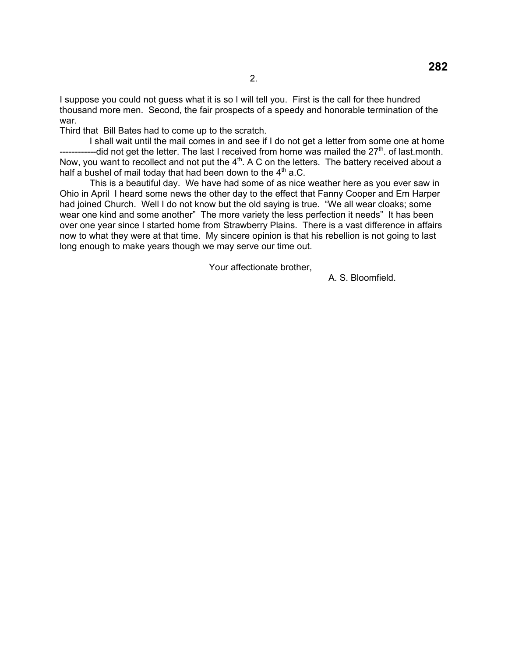I suppose you could not guess what it is so I will tell you. First is the call for thee hundred thousand more men. Second, the fair prospects of a speedy and honorable termination of the war.

Third that Bill Bates had to come up to the scratch.

 I shall wait until the mail comes in and see if I do not get a letter from some one at home  $------$ -did not get the letter. The last I received from home was mailed the 27<sup>th</sup>. of last month. Now, you want to recollect and not put the 4<sup>th</sup>. A C on the letters. The battery received about a half a bushel of mail today that had been down to the  $4<sup>th</sup>$  a.C.

 This is a beautiful day. We have had some of as nice weather here as you ever saw in Ohio in April I heard some news the other day to the effect that Fanny Cooper and Em Harper had joined Church. Well I do not know but the old saying is true. "We all wear cloaks; some wear one kind and some another" The more variety the less perfection it needs" It has been over one year since I started home from Strawberry Plains. There is a vast difference in affairs now to what they were at that time. My sincere opinion is that his rebellion is not going to last long enough to make years though we may serve our time out.

Your affectionate brother,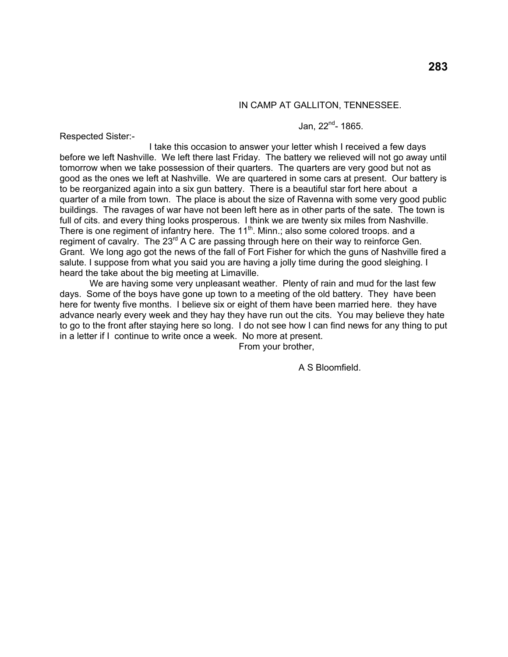### IN CAMP AT GALLITON, TENNESSEE.

# Jan,  $22^{nd}$ - 1865.

Respected Sister:-

 I take this occasion to answer your letter whish I received a few days before we left Nashville. We left there last Friday. The battery we relieved will not go away until tomorrow when we take possession of their quarters. The quarters are very good but not as good as the ones we left at Nashville. We are quartered in some cars at present. Our battery is to be reorganized again into a six gun battery. There is a beautiful star fort here about a quarter of a mile from town. The place is about the size of Ravenna with some very good public buildings. The ravages of war have not been left here as in other parts of the sate. The town is full of cits. and every thing looks prosperous. I think we are twenty six miles from Nashville. There is one regiment of infantry here. The  $11<sup>th</sup>$ . Minn.; also some colored troops. and a regiment of cavalry. The 23 $^{rd}$  A C are passing through here on their way to reinforce Gen. Grant. We long ago got the news of the fall of Fort Fisher for which the guns of Nashville fired a salute. I suppose from what you said you are having a jolly time during the good sleighing. I heard the take about the big meeting at Limaville.

 We are having some very unpleasant weather. Plenty of rain and mud for the last few days. Some of the boys have gone up town to a meeting of the old battery. They have been here for twenty five months. I believe six or eight of them have been married here. they have advance nearly every week and they hay they have run out the cits. You may believe they hate to go to the front after staying here so long. I do not see how I can find news for any thing to put in a letter if I continue to write once a week. No more at present.

From your brother,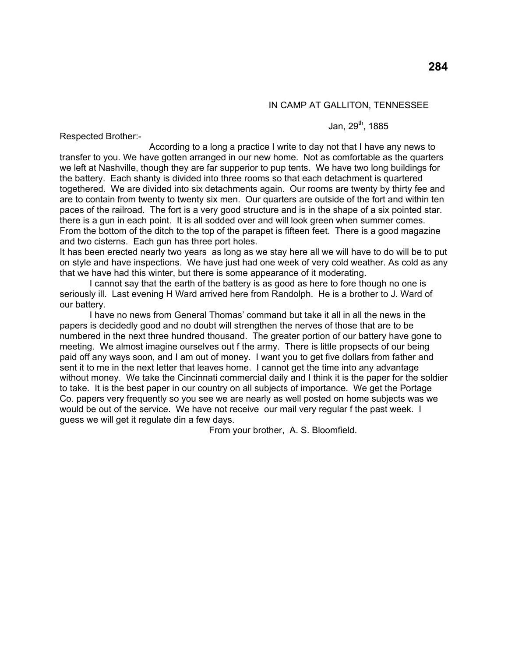# IN CAMP AT GALLITON, TENNESSEE

### Jan,  $29^{th}$ , 1885

Respected Brother:-

 According to a long a practice I write to day not that I have any news to transfer to you. We have gotten arranged in our new home. Not as comfortable as the quarters we left at Nashville, though they are far supperior to pup tents. We have two long buildings for the battery. Each shanty is divided into three rooms so that each detachment is quartered togethered. We are divided into six detachments again. Our rooms are twenty by thirty fee and are to contain from twenty to twenty six men. Our quarters are outside of the fort and within ten paces of the railroad. The fort is a very good structure and is in the shape of a six pointed star. there is a gun in each point. It is all sodded over and will look green when summer comes. From the bottom of the ditch to the top of the parapet is fifteen feet. There is a good magazine and two cisterns. Each gun has three port holes.

It has been erected nearly two years as long as we stay here all we will have to do will be to put on style and have inspections. We have just had one week of very cold weather. As cold as any that we have had this winter, but there is some appearance of it moderating.

 I cannot say that the earth of the battery is as good as here to fore though no one is seriously ill. Last evening H Ward arrived here from Randolph. He is a brother to J. Ward of our battery.

 I have no news from General Thomas' command but take it all in all the news in the papers is decidedly good and no doubt will strengthen the nerves of those that are to be numbered in the next three hundred thousand. The greater portion of our battery have gone to meeting. We almost imagine ourselves out f the army. There is little propsects of our being paid off any ways soon, and I am out of money. I want you to get five dollars from father and sent it to me in the next letter that leaves home. I cannot get the time into any advantage without money. We take the Cincinnati commercial daily and I think it is the paper for the soldier to take. It is the best paper in our country on all subjects of importance. We get the Portage Co. papers very frequently so you see we are nearly as well posted on home subjects was we would be out of the service. We have not receive our mail very regular f the past week. I guess we will get it regulate din a few days.

From your brother, A. S. Bloomfield.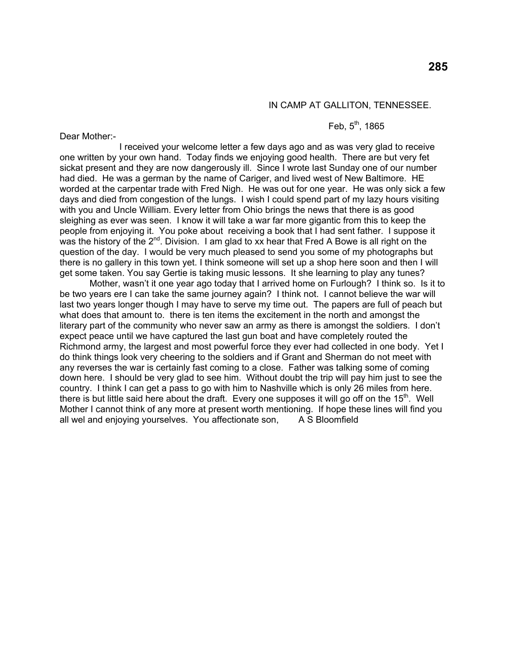## IN CAMP AT GALLITON, TENNESSEE.

# Feb,  $5^{th}$ , 1865

Dear Mother:-

 I received your welcome letter a few days ago and as was very glad to receive one written by your own hand. Today finds we enjoying good health. There are but very fet sickat present and they are now dangerously ill. Since I wrote last Sunday one of our number had died. He was a german by the name of Cariger, and lived west of New Baltimore. HE worded at the carpentar trade with Fred Nigh. He was out for one year. He was only sick a few days and died from congestion of the lungs. I wish I could spend part of my lazy hours visiting with you and Uncle William. Every letter from Ohio brings the news that there is as good sleighing as ever was seen. I know it will take a war far more gigantic from this to keep the people from enjoying it. You poke about receiving a book that I had sent father. I suppose it was the history of the  $2^{nd}$ . Division. I am glad to xx hear that Fred A Bowe is all right on the question of the day. I would be very much pleased to send you some of my photographs but there is no gallery in this town yet. I think someone will set up a shop here soon and then I will get some taken. You say Gertie is taking music lessons. It she learning to play any tunes?

 Mother, wasn't it one year ago today that I arrived home on Furlough? I think so. Is it to be two years ere I can take the same journey again? I think not. I cannot believe the war will last two years longer though I may have to serve my time out. The papers are full of peach but what does that amount to. there is ten items the excitement in the north and amongst the literary part of the community who never saw an army as there is amongst the soldiers. I don't expect peace until we have captured the last gun boat and have completely routed the Richmond army, the largest and most powerful force they ever had collected in one body. Yet I do think things look very cheering to the soldiers and if Grant and Sherman do not meet with any reverses the war is certainly fast coming to a close. Father was talking some of coming down here. I should be very glad to see him. Without doubt the trip will pay him just to see the country. I think I can get a pass to go with him to Nashville which is only 26 miles from here. there is but little said here about the draft. Every one supposes it will go off on the  $15<sup>th</sup>$ . Well Mother I cannot think of any more at present worth mentioning. If hope these lines will find you all wel and enjoying yourselves. You affectionate son, A S Bloomfield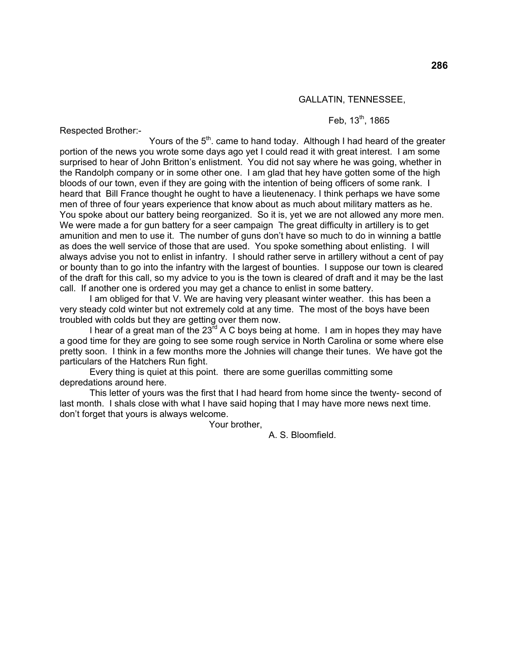### GALLATIN, TENNESSEE,

# Feb,  $13^{th}$ , 1865

Respected Brother:-

Yours of the  $5<sup>th</sup>$ . came to hand today. Although I had heard of the greater portion of the news you wrote some days ago yet I could read it with great interest. I am some surprised to hear of John Britton's enlistment. You did not say where he was going, whether in the Randolph company or in some other one. I am glad that hey have gotten some of the high bloods of our town, even if they are going with the intention of being officers of some rank. I heard that Bill France thought he ought to have a lieutenenacy. I think perhaps we have some men of three of four years experience that know about as much about military matters as he. You spoke about our battery being reorganized. So it is, yet we are not allowed any more men. We were made a for gun battery for a seer campaign The great difficulty in artillery is to get amunition and men to use it. The number of guns don't have so much to do in winning a battle as does the well service of those that are used. You spoke something about enlisting. I will always advise you not to enlist in infantry. I should rather serve in artillery without a cent of pay or bounty than to go into the infantry with the largest of bounties. I suppose our town is cleared of the draft for this call, so my advice to you is the town is cleared of draft and it may be the last call. If another one is ordered you may get a chance to enlist in some battery.

 I am obliged for that V. We are having very pleasant winter weather. this has been a very steady cold winter but not extremely cold at any time. The most of the boys have been troubled with colds but they are getting over them now.

I hear of a great man of the  $23^{rd}$  A C boys being at home. I am in hopes they may have a good time for they are going to see some rough service in North Carolina or some where else pretty soon. I think in a few months more the Johnies will change their tunes. We have got the particulars of the Hatchers Run fight.

 Every thing is quiet at this point. there are some guerillas committing some depredations around here.

 This letter of yours was the first that I had heard from home since the twenty- second of last month. I shals close with what I have said hoping that I may have more news next time. don't forget that yours is always welcome.

Your brother,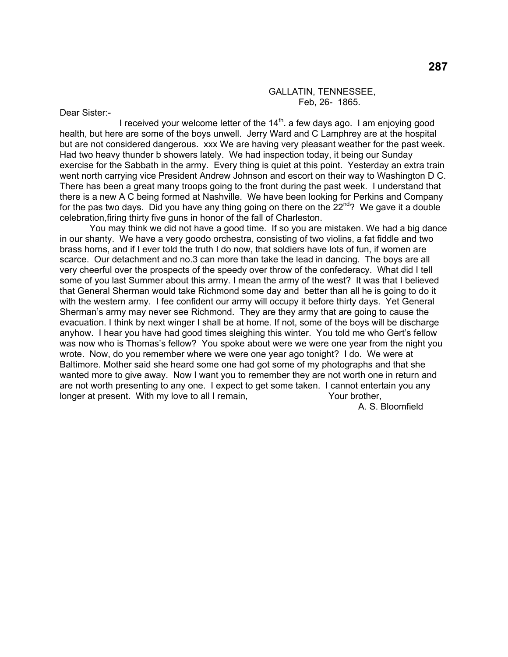#### GALLATIN, TENNESSEE, Feb, 26- 1865.

Dear Sister:-

I received your welcome letter of the  $14<sup>th</sup>$ . a few days ago. I am enjoying good health, but here are some of the boys unwell. Jerry Ward and C Lamphrey are at the hospital but are not considered dangerous. xxx We are having very pleasant weather for the past week. Had two heavy thunder b showers lately. We had inspection today, it being our Sunday exercise for the Sabbath in the army. Every thing is quiet at this point. Yesterday an extra train went north carrying vice President Andrew Johnson and escort on their way to Washington D C. There has been a great many troops going to the front during the past week. I understand that there is a new A C being formed at Nashville. We have been looking for Perkins and Company for the pas two days. Did you have any thing going on there on the  $22^{nd}$ ? We gave it a double celebration,firing thirty five guns in honor of the fall of Charleston.

 You may think we did not have a good time. If so you are mistaken. We had a big dance in our shanty. We have a very goodo orchestra, consisting of two violins, a fat fiddle and two brass horns, and if I ever told the truth I do now, that soldiers have lots of fun, if women are scarce. Our detachment and no.3 can more than take the lead in dancing. The boys are all very cheerful over the prospects of the speedy over throw of the confederacy. What did I tell some of you last Summer about this army. I mean the army of the west? It was that I believed that General Sherman would take Richmond some day and better than all he is going to do it with the western army. I fee confident our army will occupy it before thirty days. Yet General Sherman's army may never see Richmond. They are they army that are going to cause the evacuation. I think by next winger I shall be at home. If not, some of the boys will be discharge anyhow. I hear you have had good times sleighing this winter. You told me who Gert's fellow was now who is Thomas's fellow? You spoke about were we were one year from the night you wrote. Now, do you remember where we were one year ago tonight? I do. We were at Baltimore. Mother said she heard some one had got some of my photographs and that she wanted more to give away. Now I want you to remember they are not worth one in return and are not worth presenting to any one. I expect to get some taken. I cannot entertain you any longer at present. With my love to all I remain, The Most Your brother,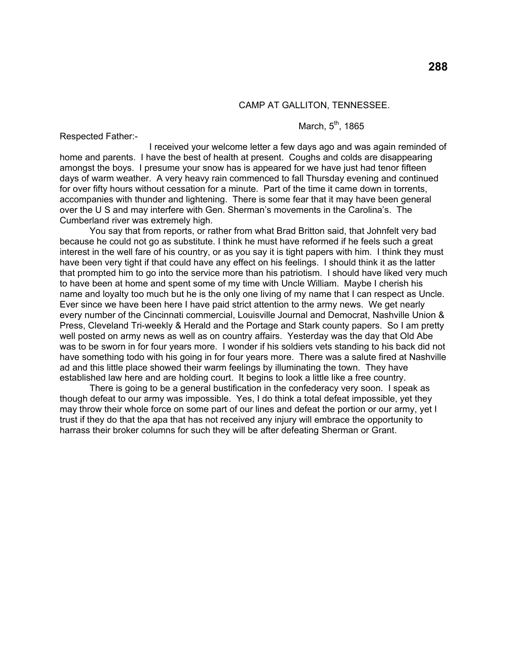#### CAMP AT GALLITON, TENNESSEE.

# March,  $5<sup>th</sup>$ , 1865

Respected Father:-

 I received your welcome letter a few days ago and was again reminded of home and parents. I have the best of health at present. Coughs and colds are disappearing amongst the boys. I presume your snow has is appeared for we have just had tenor fifteen days of warm weather. A very heavy rain commenced to fall Thursday evening and continued for over fifty hours without cessation for a minute. Part of the time it came down in torrents, accompanies with thunder and lightening. There is some fear that it may have been general over the U S and may interfere with Gen. Sherman's movements in the Carolina's. The Cumberland river was extremely high.

 You say that from reports, or rather from what Brad Britton said, that Johnfelt very bad because he could not go as substitute. I think he must have reformed if he feels such a great interest in the well fare of his country, or as you say it is tight papers with him. I think they must have been very tight if that could have any effect on his feelings. I should think it as the latter that prompted him to go into the service more than his patriotism. I should have liked very much to have been at home and spent some of my time with Uncle William. Maybe I cherish his name and loyalty too much but he is the only one living of my name that I can respect as Uncle. Ever since we have been here I have paid strict attention to the army news. We get nearly every number of the Cincinnati commercial, Louisville Journal and Democrat, Nashville Union & Press, Cleveland Tri-weekly & Herald and the Portage and Stark county papers. So I am pretty well posted on army news as well as on country affairs. Yesterday was the day that Old Abe was to be sworn in for four years more. I wonder if his soldiers vets standing to his back did not have something todo with his going in for four years more. There was a salute fired at Nashville ad and this little place showed their warm feelings by illuminating the town. They have established law here and are holding court. It begins to look a little like a free country.

 There is going to be a general bustification in the confederacy very soon. I speak as though defeat to our army was impossible. Yes, I do think a total defeat impossible, yet they may throw their whole force on some part of our lines and defeat the portion or our army, yet I trust if they do that the apa that has not received any injury will embrace the opportunity to harrass their broker columns for such they will be after defeating Sherman or Grant.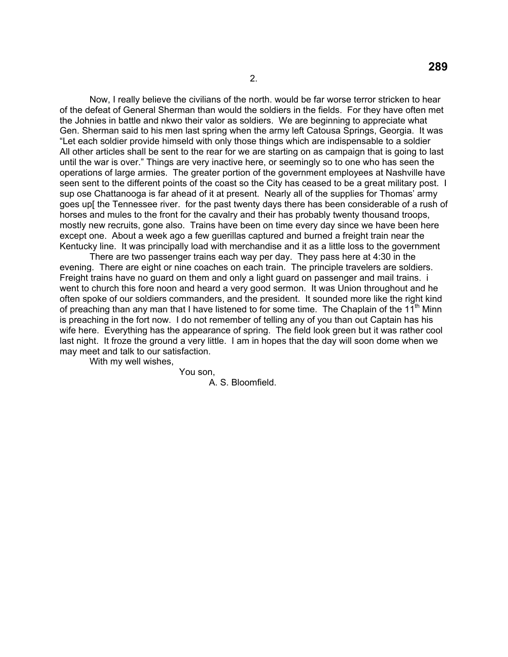Now, I really believe the civilians of the north. would be far worse terror stricken to hear of the defeat of General Sherman than would the soldiers in the fields. For they have often met the Johnies in battle and nkwo their valor as soldiers. We are beginning to appreciate what Gen. Sherman said to his men last spring when the army left Catousa Springs, Georgia. It was "Let each soldier provide himseld with only those things which are indispensable to a soldier All other articles shall be sent to the rear for we are starting on as campaign that is going to last until the war is over." Things are very inactive here, or seemingly so to one who has seen the operations of large armies. The greater portion of the government employees at Nashville have seen sent to the different points of the coast so the City has ceased to be a great military post. I sup ose Chattanooga is far ahead of it at present. Nearly all of the supplies for Thomas' army goes up[ the Tennessee river. for the past twenty days there has been considerable of a rush of horses and mules to the front for the cavalry and their has probably twenty thousand troops, mostly new recruits, gone also. Trains have been on time every day since we have been here except one. About a week ago a few guerillas captured and burned a freight train near the Kentucky line. It was principally load with merchandise and it as a little loss to the government

 There are two passenger trains each way per day. They pass here at 4:30 in the evening. There are eight or nine coaches on each train. The principle travelers are soldiers. Freight trains have no guard on them and only a light guard on passenger and mail trains. i went to church this fore noon and heard a very good sermon. It was Union throughout and he often spoke of our soldiers commanders, and the president. It sounded more like the right kind of preaching than any man that I have listened to for some time. The Chaplain of the  $11<sup>th</sup>$  Minn is preaching in the fort now. I do not remember of telling any of you than out Captain has his wife here. Everything has the appearance of spring. The field look green but it was rather cool last night. It froze the ground a very little. I am in hopes that the day will soon dome when we may meet and talk to our satisfaction.

With my well wishes,

You son,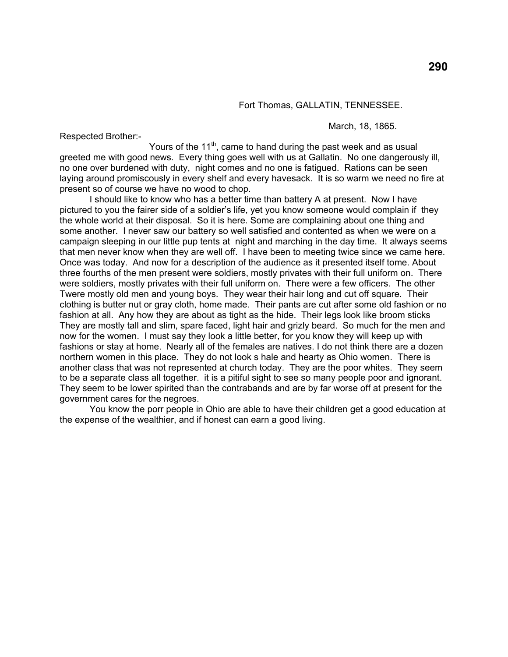### Fort Thomas, GALLATIN, TENNESSEE.

Respected Brother:-

March, 18, 1865.

Yours of the  $11<sup>th</sup>$ , came to hand during the past week and as usual greeted me with good news. Every thing goes well with us at Gallatin. No one dangerously ill, no one over burdened with duty, night comes and no one is fatigued. Rations can be seen laying around promiscously in every shelf and every havesack. It is so warm we need no fire at present so of course we have no wood to chop.

 I should like to know who has a better time than battery A at present. Now I have pictured to you the fairer side of a soldier's life, yet you know someone would complain if they the whole world at their disposal. So it is here. Some are complaining about one thing and some another. I never saw our battery so well satisfied and contented as when we were on a campaign sleeping in our little pup tents at night and marching in the day time. It always seems that men never know when they are well off. I have been to meeting twice since we came here. Once was today. And now for a description of the audience as it presented itself tome. About three fourths of the men present were soldiers, mostly privates with their full uniform on. There were soldiers, mostly privates with their full uniform on. There were a few officers. The other Twere mostly old men and young boys. They wear their hair long and cut off square. Their clothing is butter nut or gray cloth, home made. Their pants are cut after some old fashion or no fashion at all. Any how they are about as tight as the hide. Their legs look like broom sticks They are mostly tall and slim, spare faced, light hair and grizly beard. So much for the men and now for the women. I must say they look a little better, for you know they will keep up with fashions or stay at home. Nearly all of the females are natives. I do not think there are a dozen northern women in this place. They do not look s hale and hearty as Ohio women. There is another class that was not represented at church today. They are the poor whites. They seem to be a separate class all together. it is a pitiful sight to see so many people poor and ignorant. They seem to be lower spirited than the contrabands and are by far worse off at present for the government cares for the negroes.

 You know the porr people in Ohio are able to have their children get a good education at the expense of the wealthier, and if honest can earn a good living.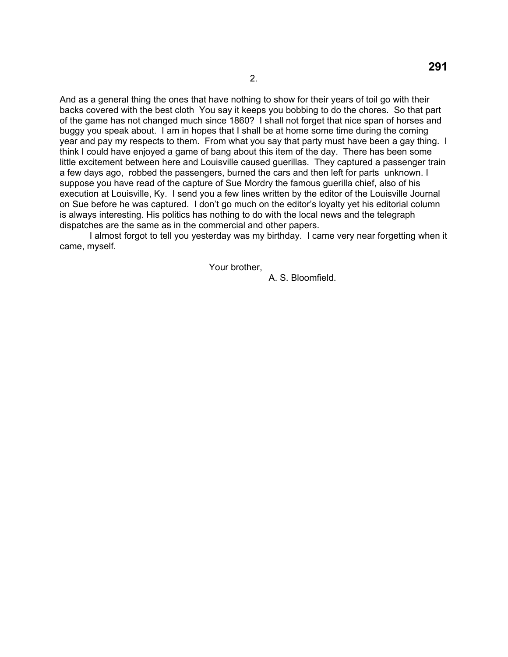And as a general thing the ones that have nothing to show for their years of toil go with their backs covered with the best cloth You say it keeps you bobbing to do the chores. So that part of the game has not changed much since 1860? I shall not forget that nice span of horses and buggy you speak about. I am in hopes that I shall be at home some time during the coming year and pay my respects to them. From what you say that party must have been a gay thing. I think I could have enjoyed a game of bang about this item of the day. There has been some little excitement between here and Louisville caused guerillas. They captured a passenger train a few days ago, robbed the passengers, burned the cars and then left for parts unknown. I suppose you have read of the capture of Sue Mordry the famous guerilla chief, also of his execution at Louisville, Ky. I send you a few lines written by the editor of the Louisville Journal on Sue before he was captured. I don't go much on the editor's loyalty yet his editorial column is always interesting. His politics has nothing to do with the local news and the telegraph dispatches are the same as in the commercial and other papers.

 I almost forgot to tell you yesterday was my birthday. I came very near forgetting when it came, myself.

Your brother,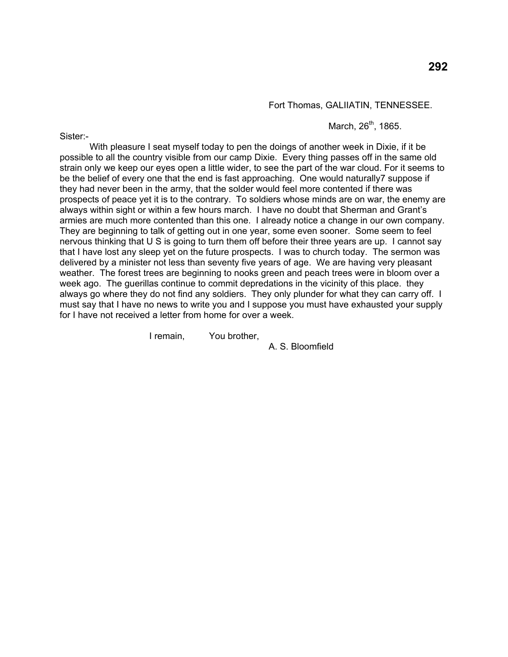Fort Thomas, GALIIATIN, TENNESSEE.

March,  $26^{th}$ , 1865.

Sister:-

 With pleasure I seat myself today to pen the doings of another week in Dixie, if it be possible to all the country visible from our camp Dixie. Every thing passes off in the same old strain only we keep our eyes open a little wider, to see the part of the war cloud. For it seems to be the belief of every one that the end is fast approaching. One would naturally7 suppose if they had never been in the army, that the solder would feel more contented if there was prospects of peace yet it is to the contrary. To soldiers whose minds are on war, the enemy are always within sight or within a few hours march. I have no doubt that Sherman and Grant's armies are much more contented than this one. I already notice a change in our own company. They are beginning to talk of getting out in one year, some even sooner. Some seem to feel nervous thinking that U S is going to turn them off before their three years are up. I cannot say that I have lost any sleep yet on the future prospects. I was to church today. The sermon was delivered by a minister not less than seventy five years of age. We are having very pleasant weather. The forest trees are beginning to nooks green and peach trees were in bloom over a week ago. The guerillas continue to commit depredations in the vicinity of this place. they always go where they do not find any soldiers. They only plunder for what they can carry off. I must say that I have no news to write you and I suppose you must have exhausted your supply for I have not received a letter from home for over a week.

I remain, You brother,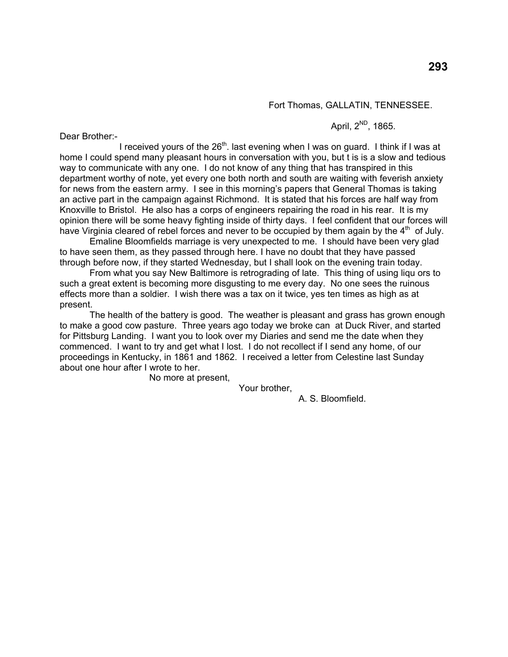Fort Thomas, GALLATIN, TENNESSEE.

April,  $2^{ND}$ , 1865.

Dear Brother:-

I received yours of the  $26<sup>th</sup>$ . last evening when I was on guard. I think if I was at home I could spend many pleasant hours in conversation with you, but t is is a slow and tedious way to communicate with any one. I do not know of any thing that has transpired in this department worthy of note, yet every one both north and south are waiting with feverish anxiety for news from the eastern army. I see in this morning's papers that General Thomas is taking an active part in the campaign against Richmond. It is stated that his forces are half way from Knoxville to Bristol. He also has a corps of engineers repairing the road in his rear. It is my opinion there will be some heavy fighting inside of thirty days. I feel confident that our forces will have Virginia cleared of rebel forces and never to be occupied by them again by the  $4<sup>th</sup>$  of July.

 Emaline Bloomfields marriage is very unexpected to me. I should have been very glad to have seen them, as they passed through here. I have no doubt that they have passed through before now, if they started Wednesday, but I shall look on the evening train today.

 From what you say New Baltimore is retrograding of late. This thing of using liqu ors to such a great extent is becoming more disgusting to me every day. No one sees the ruinous effects more than a soldier. I wish there was a tax on it twice, yes ten times as high as at present.

 The health of the battery is good. The weather is pleasant and grass has grown enough to make a good cow pasture. Three years ago today we broke can at Duck River, and started for Pittsburg Landing. I want you to look over my Diaries and send me the date when they commenced. I want to try and get what I lost. I do not recollect if I send any home, of our proceedings in Kentucky, in 1861 and 1862. I received a letter from Celestine last Sunday about one hour after I wrote to her.

No more at present,

Your brother,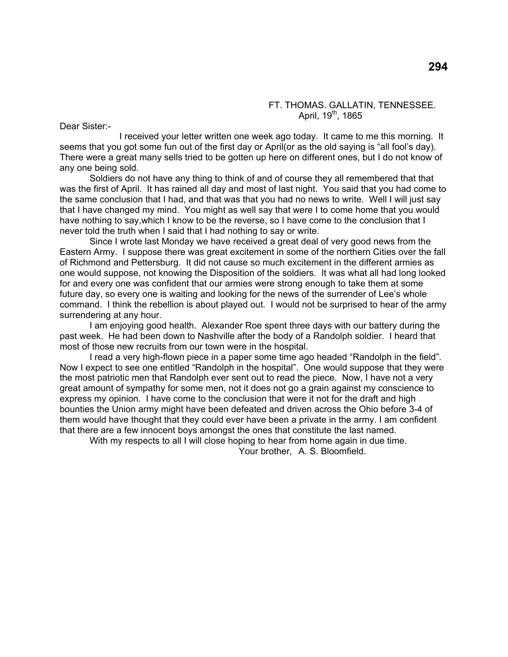### FT. THOMAS. GALLATIN, TENNESSEE. April,  $19^{th}$ , 1865

Dear Sister:-

 I received your letter written one week ago today. It came to me this morning. It seems that you got some fun out of the first day or April(or as the old saying is "all fool's day). There were a great many sells tried to be gotten up here on different ones, but I do not know of any one being sold.

 Soldiers do not have any thing to think of and of course they all remembered that that was the first of April. It has rained all day and most of last night. You said that you had come to the same conclusion that I had, and that was that you had no news to write. Well I will just say that I have changed my mind. You might as well say that were I to come home that you would have nothing to say,which I know to be the reverse, so I have come to the conclusion that I never told the truth when I said that I had nothing to say or write.

 Since I wrote last Monday we have received a great deal of very good news from the Eastern Army. I suppose there was great excitement in some of the northern Cities over the fall of Richmond and Pettersburg. It did not cause so much excitement in the different armies as one would suppose, not knowing the Disposition of the soldiers. It was what all had long looked for and every one was confident that our armies were strong enough to take them at some future day, so every one is waiting and looking for the news of the surrender of Lee's whole command. I think the rebellion is about played out. I would not be surprised to hear of the army surrendering at any hour.

 I am enjoying good health. Alexander Roe spent three days with our battery during the past week. He had been down to Nashville after the body of a Randolph soldier. I heard that most of those new recruits from our town were in the hospital.

 I read a very high-flown piece in a paper some time ago headed "Randolph in the field". Now I expect to see one entitled "Randolph in the hospital". One would suppose that they were the most patriotic men that Randolph ever sent out to read the piece. Now, I have not a very great amount of sympathy for some men, not it does not go a grain against my conscience to express my opinion. I have come to the conclusion that were it not for the draft and high bounties the Union army might have been defeated and driven across the Ohio before 3-4 of them would have thought that they could ever have been a private in the army. I am confident that there are a few innocent boys amongst the ones that constitute the last named.

With my respects to all I will close hoping to hear from home again in due time.

Your brother, A. S. Bloomfield.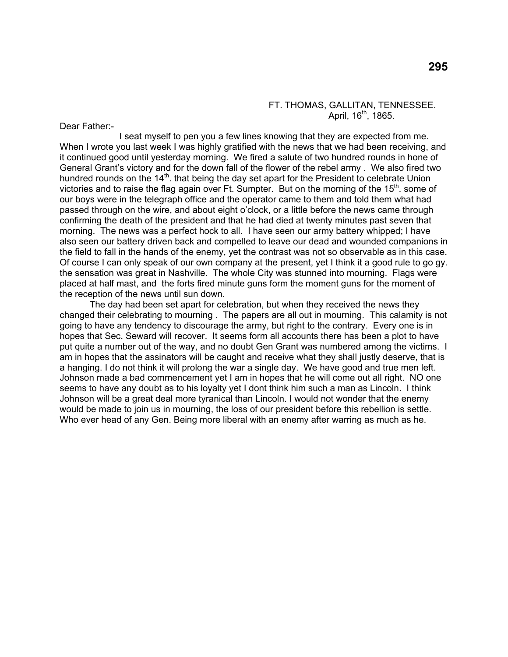#### FT. THOMAS, GALLITAN, TENNESSEE. April,  $16^{th}$ , 1865.

Dear Father:-

 I seat myself to pen you a few lines knowing that they are expected from me. When I wrote you last week I was highly gratified with the news that we had been receiving, and it continued good until yesterday morning. We fired a salute of two hundred rounds in hone of General Grant's victory and for the down fall of the flower of the rebel army . We also fired two hundred rounds on the  $14<sup>th</sup>$ . that being the day set apart for the President to celebrate Union victories and to raise the flag again over Ft. Sumpter. But on the morning of the  $15<sup>th</sup>$ . some of our boys were in the telegraph office and the operator came to them and told them what had passed through on the wire, and about eight o'clock, or a little before the news came through confirming the death of the president and that he had died at twenty minutes past seven that morning. The news was a perfect hock to all. I have seen our army battery whipped; I have also seen our battery driven back and compelled to leave our dead and wounded companions in the field to fall in the hands of the enemy, yet the contrast was not so observable as in this case. Of course I can only speak of our own company at the present, yet I think it a good rule to go gy. the sensation was great in Nashville. The whole City was stunned into mourning. Flags were placed at half mast, and the forts fired minute guns form the moment guns for the moment of the reception of the news until sun down.

 The day had been set apart for celebration, but when they received the news they changed their celebrating to mourning . The papers are all out in mourning. This calamity is not going to have any tendency to discourage the army, but right to the contrary. Every one is in hopes that Sec. Seward will recover. It seems form all accounts there has been a plot to have put quite a number out of the way, and no doubt Gen Grant was numbered among the victims. I am in hopes that the assinators will be caught and receive what they shall justly deserve, that is a hanging. I do not think it will prolong the war a single day. We have good and true men left. Johnson made a bad commencement yet I am in hopes that he will come out all right. NO one seems to have any doubt as to his loyalty yet I dont think him such a man as Lincoln. I think Johnson will be a great deal more tyranical than Lincoln. I would not wonder that the enemy would be made to join us in mourning, the loss of our president before this rebellion is settle. Who ever head of any Gen. Being more liberal with an enemy after warring as much as he.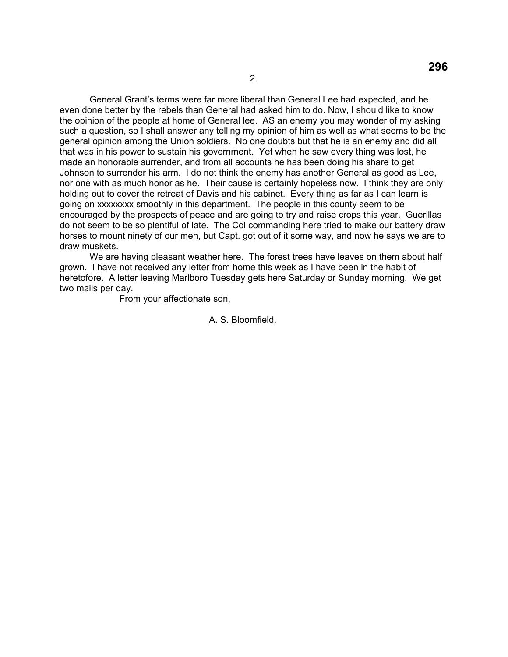General Grant's terms were far more liberal than General Lee had expected, and he even done better by the rebels than General had asked him to do. Now, I should like to know the opinion of the people at home of General lee. AS an enemy you may wonder of my asking such a question, so I shall answer any telling my opinion of him as well as what seems to be the general opinion among the Union soldiers. No one doubts but that he is an enemy and did all that was in his power to sustain his government. Yet when he saw every thing was lost, he made an honorable surrender, and from all accounts he has been doing his share to get Johnson to surrender his arm. I do not think the enemy has another General as good as Lee, nor one with as much honor as he. Their cause is certainly hopeless now. I think they are only holding out to cover the retreat of Davis and his cabinet. Every thing as far as I can learn is going on xxxxxxxx smoothly in this department. The people in this county seem to be encouraged by the prospects of peace and are going to try and raise crops this year. Guerillas do not seem to be so plentiful of late. The Col commanding here tried to make our battery draw horses to mount ninety of our men, but Capt. got out of it some way, and now he says we are to draw muskets.

 We are having pleasant weather here. The forest trees have leaves on them about half grown. I have not received any letter from home this week as I have been in the habit of heretofore. A letter leaving Marlboro Tuesday gets here Saturday or Sunday morning. We get two mails per day.

From your affectionate son,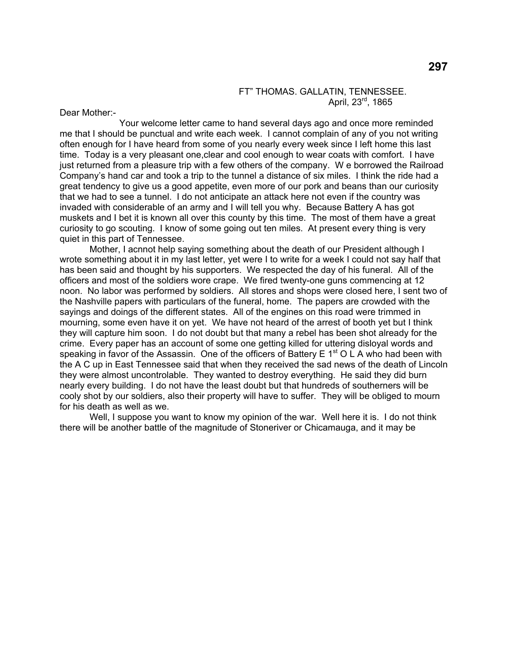#### FT" THOMAS. GALLATIN, TENNESSEE. April, 23<sup>rd</sup>, 1865

Dear Mother:-

 Your welcome letter came to hand several days ago and once more reminded me that I should be punctual and write each week. I cannot complain of any of you not writing often enough for I have heard from some of you nearly every week since I left home this last time. Today is a very pleasant one,clear and cool enough to wear coats with comfort. I have just returned from a pleasure trip with a few others of the company. W e borrowed the Railroad Company's hand car and took a trip to the tunnel a distance of six miles. I think the ride had a great tendency to give us a good appetite, even more of our pork and beans than our curiosity that we had to see a tunnel. I do not anticipate an attack here not even if the country was invaded with considerable of an army and I will tell you why. Because Battery A has got muskets and I bet it is known all over this county by this time. The most of them have a great curiosity to go scouting. I know of some going out ten miles. At present every thing is very quiet in this part of Tennessee.

 Mother, I acnnot help saying something about the death of our President although I wrote something about it in my last letter, yet were I to write for a week I could not say half that has been said and thought by his supporters. We respected the day of his funeral. All of the officers and most of the soldiers wore crape. We fired twenty-one guns commencing at 12 noon. No labor was performed by soldiers. All stores and shops were closed here, I sent two of the Nashville papers with particulars of the funeral, home. The papers are crowded with the sayings and doings of the different states. All of the engines on this road were trimmed in mourning, some even have it on yet. We have not heard of the arrest of booth yet but I think they will capture him soon. I do not doubt but that many a rebel has been shot already for the crime. Every paper has an account of some one getting killed for uttering disloyal words and speaking in favor of the Assassin. One of the officers of Battery E  $1<sup>st</sup> O L A$  who had been with the A C up in East Tennessee said that when they received the sad news of the death of Lincoln they were almost uncontrolable. They wanted to destroy everything. He said they did burn nearly every building. I do not have the least doubt but that hundreds of southerners will be cooly shot by our soldiers, also their property will have to suffer. They will be obliged to mourn for his death as well as we.

Well, I suppose you want to know my opinion of the war. Well here it is. I do not think there will be another battle of the magnitude of Stoneriver or Chicamauga, and it may be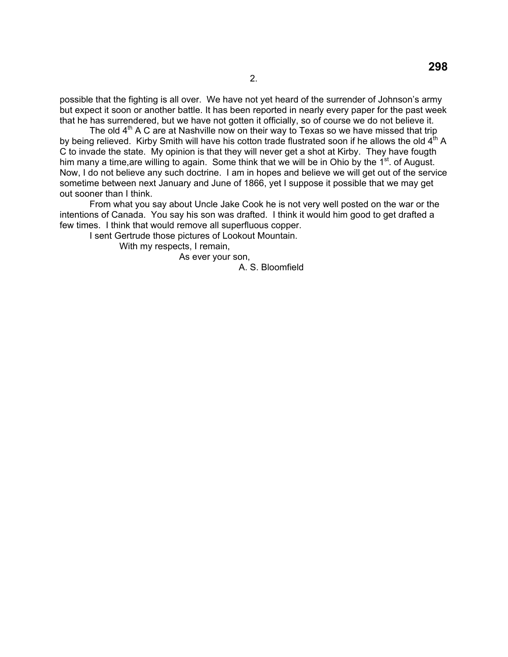possible that the fighting is all over. We have not yet heard of the surrender of Johnson's army but expect it soon or another battle. It has been reported in nearly every paper for the past week that he has surrendered, but we have not gotten it officially, so of course we do not believe it.

The old  $4<sup>th</sup>$  A C are at Nashville now on their way to Texas so we have missed that trip by being relieved. Kirby Smith will have his cotton trade flustrated soon if he allows the old 4<sup>th</sup> A C to invade the state. My opinion is that they will never get a shot at Kirby. They have fougth him many a time, are willing to again. Some think that we will be in Ohio by the  $1<sup>st</sup>$ . of August. Now, I do not believe any such doctrine. I am in hopes and believe we will get out of the service sometime between next January and June of 1866, yet I suppose it possible that we may get out sooner than I think.

 From what you say about Uncle Jake Cook he is not very well posted on the war or the intentions of Canada. You say his son was drafted. I think it would him good to get drafted a few times. I think that would remove all superfluous copper.

I sent Gertrude those pictures of Lookout Mountain.

With my respects, I remain,

As ever your son,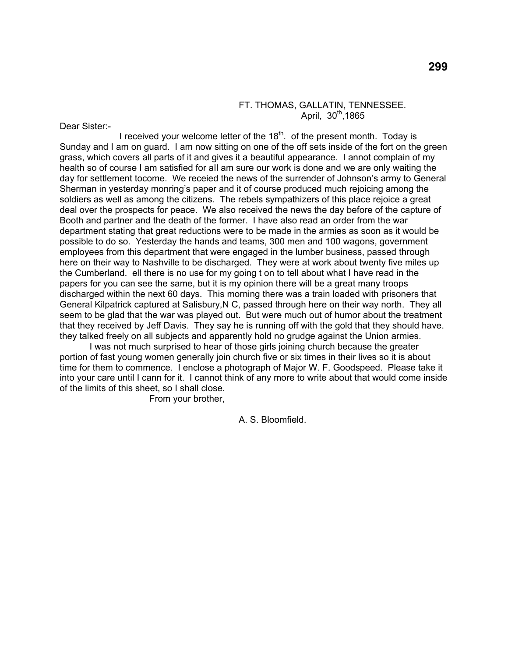## FT. THOMAS, GALLATIN, TENNESSEE. April,  $30<sup>th</sup>$ ,1865

Dear Sister:-

I received your welcome letter of the  $18<sup>th</sup>$ . of the present month. Today is Sunday and I am on guard. I am now sitting on one of the off sets inside of the fort on the green grass, which covers all parts of it and gives it a beautiful appearance. I annot complain of my health so of course I am satisfied for aIl am sure our work is done and we are only waiting the day for settlement tocome. We receied the news of the surrender of Johnson's army to General Sherman in yesterday monring's paper and it of course produced much rejoicing among the soldiers as well as among the citizens. The rebels sympathizers of this place rejoice a great deal over the prospects for peace. We also received the news the day before of the capture of Booth and partner and the death of the former. I have also read an order from the war department stating that great reductions were to be made in the armies as soon as it would be possible to do so. Yesterday the hands and teams, 300 men and 100 wagons, government employees from this department that were engaged in the lumber business, passed through here on their way to Nashville to be discharged. They were at work about twenty five miles up the Cumberland. ell there is no use for my going t on to tell about what I have read in the papers for you can see the same, but it is my opinion there will be a great many troops discharged within the next 60 days. This morning there was a train loaded with prisoners that General Kilpatrick captured at Salisbury,N C, passed through here on their way north. They all seem to be glad that the war was played out. But were much out of humor about the treatment that they received by Jeff Davis. They say he is running off with the gold that they should have. they talked freely on all subjects and apparently hold no grudge against the Union armies.

 I was not much surprised to hear of those girls joining church because the greater portion of fast young women generally join church five or six times in their lives so it is about time for them to commence. I enclose a photograph of Major W. F. Goodspeed. Please take it into your care until I cann for it. I cannot think of any more to write about that would come inside of the limits of this sheet, so I shall close.

From your brother,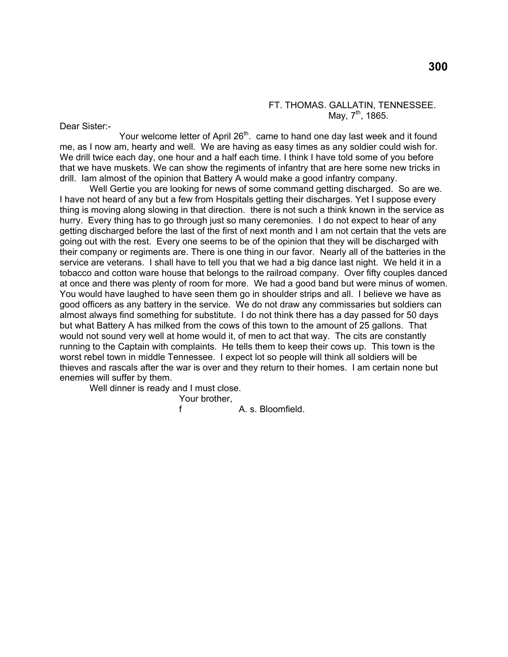#### FT. THOMAS. GALLATIN, TENNESSEE. May,  $7^{th}$ , 1865.

Dear Sister:-

Your welcome letter of April 26<sup>th</sup>. came to hand one day last week and it found me, as I now am, hearty and well. We are having as easy times as any soldier could wish for. We drill twice each day, one hour and a half each time. I think I have told some of you before that we have muskets. We can show the regiments of infantry that are here some new tricks in drill. Iam almost of the opinion that Battery A would make a good infantry company.

 Well Gertie you are looking for news of some command getting discharged. So are we. I have not heard of any but a few from Hospitals getting their discharges. Yet I suppose every thing is moving along slowing in that direction. there is not such a think known in the service as hurry. Every thing has to go through just so many ceremonies. I do not expect to hear of any getting discharged before the last of the first of next month and I am not certain that the vets are going out with the rest. Every one seems to be of the opinion that they will be discharged with their company or regiments are. There is one thing in our favor. Nearly all of the batteries in the service are veterans. I shall have to tell you that we had a big dance last night. We held it in a tobacco and cotton ware house that belongs to the railroad company. Over fifty couples danced at once and there was plenty of room for more. We had a good band but were minus of women. You would have laughed to have seen them go in shoulder strips and all. I believe we have as good officers as any battery in the service. We do not draw any commissaries but soldiers can almost always find something for substitute. I do not think there has a day passed for 50 days but what Battery A has milked from the cows of this town to the amount of 25 gallons. That would not sound very well at home would it, of men to act that way. The cits are constantly running to the Captain with complaints. He tells them to keep their cows up. This town is the worst rebel town in middle Tennessee. I expect lot so people will think all soldiers will be thieves and rascals after the war is over and they return to their homes. I am certain none but enemies will suffer by them.

Well dinner is ready and I must close.

Your brother,

f A. s. Bloomfield.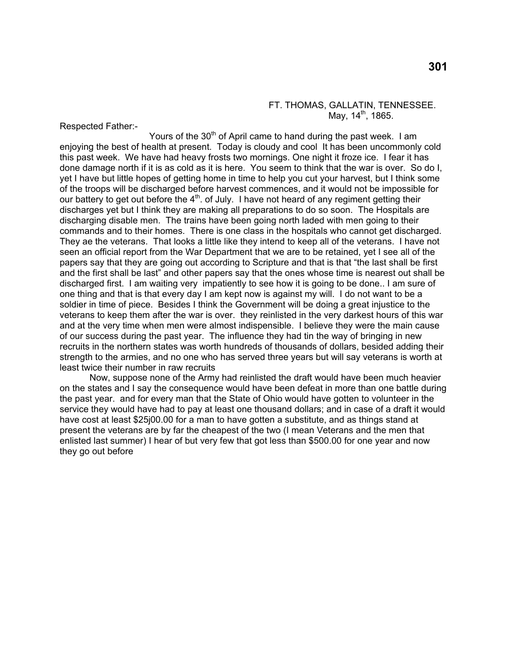#### FT. THOMAS, GALLATIN, TENNESSEE. May,  $14^{\text{th}}$ , 1865.

Respected Father:-

Yours of the  $30<sup>th</sup>$  of April came to hand during the past week. I am enjoying the best of health at present. Today is cloudy and cool It has been uncommonly cold this past week. We have had heavy frosts two mornings. One night it froze ice. I fear it has done damage north if it is as cold as it is here. You seem to think that the war is over. So do I, yet I have but little hopes of getting home in time to help you cut your harvest, but I think some of the troops will be discharged before harvest commences, and it would not be impossible for our battery to get out before the  $4<sup>th</sup>$ . of July. I have not heard of any regiment getting their discharges yet but I think they are making all preparations to do so soon. The Hospitals are discharging disable men. The trains have been going north laded with men going to their commands and to their homes. There is one class in the hospitals who cannot get discharged. They ae the veterans. That looks a little like they intend to keep all of the veterans. I have not seen an official report from the War Department that we are to be retained, yet I see all of the papers say that they are going out according to Scripture and that is that "the last shall be first and the first shall be last" and other papers say that the ones whose time is nearest out shall be discharged first. I am waiting very impatiently to see how it is going to be done.. I am sure of one thing and that is that every day I am kept now is against my will. I do not want to be a soldier in time of piece. Besides I think the Government will be doing a great injustice to the veterans to keep them after the war is over. they reinlisted in the very darkest hours of this war and at the very time when men were almost indispensible. I believe they were the main cause of our success during the past year. The influence they had tin the way of bringing in new recruits in the northern states was worth hundreds of thousands of dollars, besided adding their strength to the armies, and no one who has served three years but will say veterans is worth at least twice their number in raw recruits

 Now, suppose none of the Army had reinlisted the draft would have been much heavier on the states and I say the consequence would have been defeat in more than one battle during the past year. and for every man that the State of Ohio would have gotten to volunteer in the service they would have had to pay at least one thousand dollars; and in case of a draft it would have cost at least \$25j00.00 for a man to have gotten a substitute, and as things stand at present the veterans are by far the cheapest of the two (I mean Veterans and the men that enlisted last summer) I hear of but very few that got less than \$500.00 for one year and now they go out before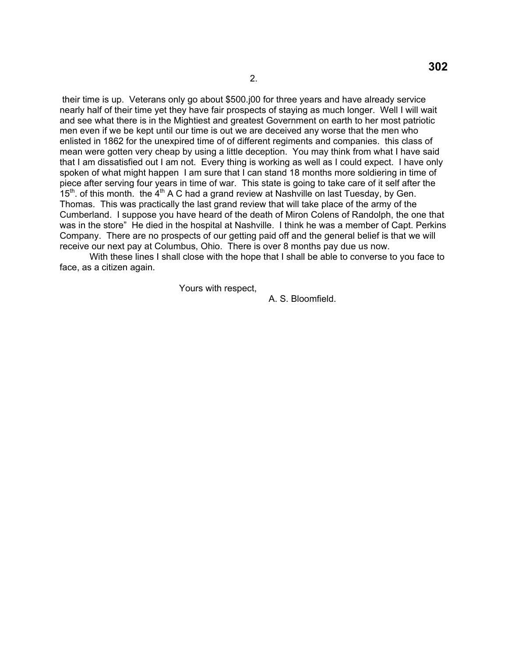their time is up. Veterans only go about \$500.j00 for three years and have already service nearly half of their time yet they have fair prospects of staying as much longer. Well I will wait and see what there is in the Mightiest and greatest Government on earth to her most patriotic men even if we be kept until our time is out we are deceived any worse that the men who enlisted in 1862 for the unexpired time of of different regiments and companies. this class of mean were gotten very cheap by using a little deception. You may think from what I have said that I am dissatisfied out I am not. Every thing is working as well as I could expect. I have only spoken of what might happen I am sure that I can stand 18 months more soldiering in time of piece after serving four years in time of war. This state is going to take care of it self after the  $15<sup>th</sup>$ . of this month. the  $4<sup>th</sup>$  A C had a grand review at Nashville on last Tuesday, by Gen. Thomas. This was practically the last grand review that will take place of the army of the Cumberland. I suppose you have heard of the death of Miron Colens of Randolph, the one that was in the store" He died in the hospital at Nashville. I think he was a member of Capt. Perkins Company. There are no prospects of our getting paid off and the general belief is that we will receive our next pay at Columbus, Ohio. There is over 8 months pay due us now.

With these lines I shall close with the hope that I shall be able to converse to you face to face, as a citizen again.

Yours with respect,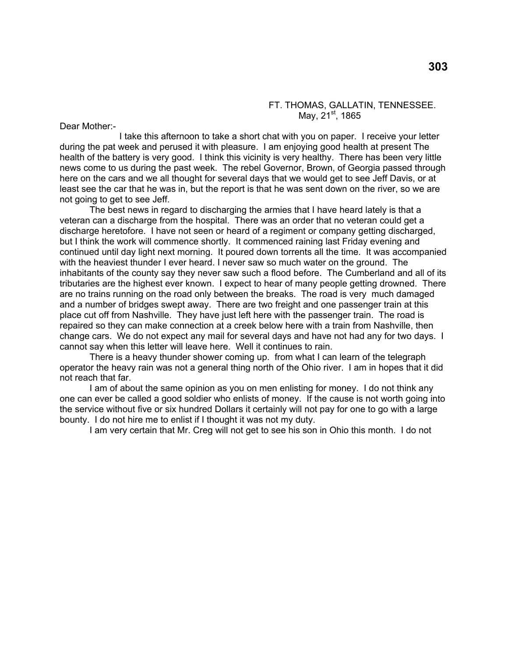### FT. THOMAS, GALLATIN, TENNESSEE. May,  $21^{\text{st}}$ , 1865

Dear Mother:-

 I take this afternoon to take a short chat with you on paper. I receive your letter during the pat week and perused it with pleasure. I am enjoying good health at present The health of the battery is very good. I think this vicinity is very healthy. There has been very little news come to us during the past week. The rebel Governor, Brown, of Georgia passed through here on the cars and we all thought for several days that we would get to see Jeff Davis, or at least see the car that he was in, but the report is that he was sent down on the river, so we are not going to get to see Jeff.

 The best news in regard to discharging the armies that I have heard lately is that a veteran can a discharge from the hospital. There was an order that no veteran could get a discharge heretofore. I have not seen or heard of a regiment or company getting discharged, but I think the work will commence shortly. It commenced raining last Friday evening and continued until day light next morning. It poured down torrents all the time. It was accompanied with the heaviest thunder I ever heard. I never saw so much water on the ground. The inhabitants of the county say they never saw such a flood before. The Cumberland and all of its tributaries are the highest ever known. I expect to hear of many people getting drowned. There are no trains running on the road only between the breaks. The road is very much damaged and a number of bridges swept away. There are two freight and one passenger train at this place cut off from Nashville. They have just left here with the passenger train. The road is repaired so they can make connection at a creek below here with a train from Nashville, then change cars. We do not expect any mail for several days and have not had any for two days. I cannot say when this letter will leave here. Well it continues to rain.

There is a heavy thunder shower coming up. from what I can learn of the telegraph operator the heavy rain was not a general thing north of the Ohio river. I am in hopes that it did not reach that far.

 I am of about the same opinion as you on men enlisting for money. I do not think any one can ever be called a good soldier who enlists of money. If the cause is not worth going into the service without five or six hundred Dollars it certainly will not pay for one to go with a large bounty. I do not hire me to enlist if I thought it was not my duty.

I am very certain that Mr. Creg will not get to see his son in Ohio this month. I do not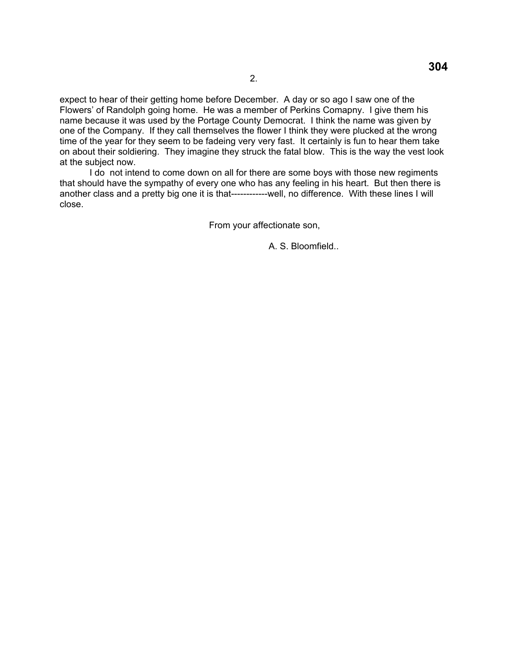expect to hear of their getting home before December. A day or so ago I saw one of the Flowers' of Randolph going home. He was a member of Perkins Comapny. I give them his name because it was used by the Portage County Democrat. I think the name was given by one of the Company. If they call themselves the flower I think they were plucked at the wrong time of the year for they seem to be fadeing very very fast. It certainly is fun to hear them take on about their soldiering. They imagine they struck the fatal blow. This is the way the vest look at the subject now.

I do not intend to come down on all for there are some boys with those new regiments that should have the sympathy of every one who has any feeling in his heart. But then there is another class and a pretty big one it is that------------well, no difference. With these lines I will close.

From your affectionate son,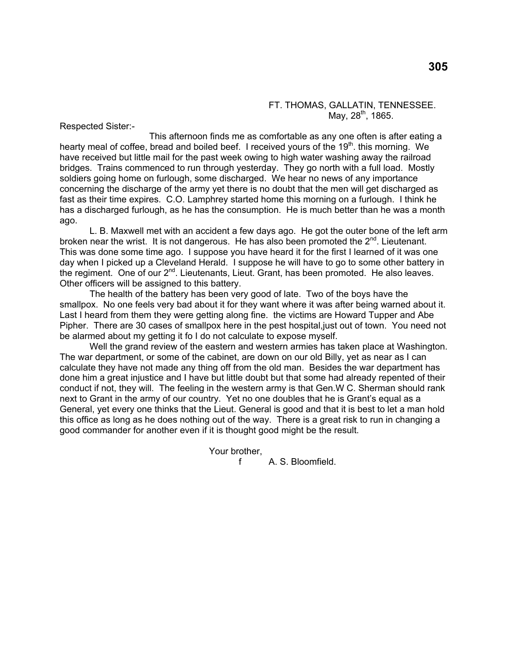#### FT. THOMAS, GALLATIN, TENNESSEE. May,  $28^{th}$ , 1865.

Respected Sister:-

 This afternoon finds me as comfortable as any one often is after eating a hearty meal of coffee, bread and boiled beef. I received yours of the 19<sup>th</sup>, this morning. We have received but little mail for the past week owing to high water washing away the railroad bridges. Trains commenced to run through yesterday. They go north with a full load. Mostly soldiers going home on furlough, some discharged. We hear no news of any importance concerning the discharge of the army yet there is no doubt that the men will get discharged as fast as their time expires. C.O. Lamphrey started home this morning on a furlough. I think he has a discharged furlough, as he has the consumption. He is much better than he was a month ago.

 L. B. Maxwell met with an accident a few days ago. He got the outer bone of the left arm broken near the wrist. It is not dangerous. He has also been promoted the  $2^{nd}$ . Lieutenant. This was done some time ago. I suppose you have heard it for the first I learned of it was one day when I picked up a Cleveland Herald. I suppose he will have to go to some other battery in the regiment. One of our 2<sup>nd</sup>. Lieutenants, Lieut. Grant, has been promoted. He also leaves. Other officers will be assigned to this battery.

 The health of the battery has been very good of late. Two of the boys have the smallpox. No one feels very bad about it for they want where it was after being warned about it. Last I heard from them they were getting along fine. the victims are Howard Tupper and Abe Pipher. There are 30 cases of smallpox here in the pest hospital,just out of town. You need not be alarmed about my getting it fo I do not calculate to expose myself.

 Well the grand review of the eastern and western armies has taken place at Washington. The war department, or some of the cabinet, are down on our old Billy, yet as near as I can calculate they have not made any thing off from the old man. Besides the war department has done him a great injustice and I have but little doubt but that some had already repented of their conduct if not, they will. The feeling in the western army is that Gen.W C. Sherman should rank next to Grant in the army of our country. Yet no one doubles that he is Grant's equal as a General, yet every one thinks that the Lieut. General is good and that it is best to let a man hold this office as long as he does nothing out of the way. There is a great risk to run in changing a good commander for another even if it is thought good might be the result.

Your brother,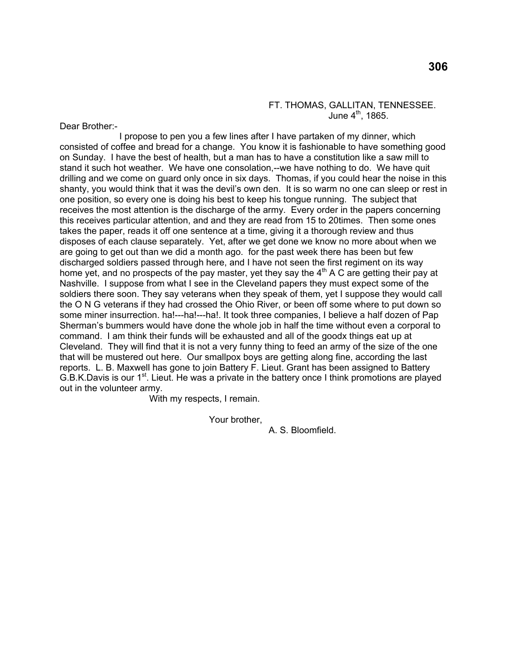### FT. THOMAS, GALLITAN, TENNESSEE. June  $4^{\text{th}}$ , 1865.

Dear Brother:-

 I propose to pen you a few lines after I have partaken of my dinner, which consisted of coffee and bread for a change. You know it is fashionable to have something good on Sunday. I have the best of health, but a man has to have a constitution like a saw mill to stand it such hot weather. We have one consolation,--we have nothing to do. We have quit drilling and we come on guard only once in six days. Thomas, if you could hear the noise in this shanty, you would think that it was the devil's own den. It is so warm no one can sleep or rest in one position, so every one is doing his best to keep his tongue running. The subject that receives the most attention is the discharge of the army. Every order in the papers concerning this receives particular attention, and and they are read from 15 to 20times. Then some ones takes the paper, reads it off one sentence at a time, giving it a thorough review and thus disposes of each clause separately. Yet, after we get done we know no more about when we are going to get out than we did a month ago. for the past week there has been but few discharged soldiers passed through here, and I have not seen the first regiment on its way home yet, and no prospects of the pay master, yet they say the  $4<sup>th</sup>$  A C are getting their pay at Nashville. I suppose from what I see in the Cleveland papers they must expect some of the soldiers there soon. They say veterans when they speak of them, yet I suppose they would call the O N G veterans if they had crossed the Ohio River, or been off some where to put down so some miner insurrection. ha!---ha!---ha!. It took three companies, I believe a half dozen of Pap Sherman's bummers would have done the whole job in half the time without even a corporal to command. I am think their funds will be exhausted and all of the goodx things eat up at Cleveland. They will find that it is not a very funny thing to feed an army of the size of the one that will be mustered out here. Our smallpox boys are getting along fine, according the last reports. L. B. Maxwell has gone to join Battery F. Lieut. Grant has been assigned to Battery G.B.K.Davis is our  $1<sup>st</sup>$ . Lieut. He was a private in the battery once I think promotions are played out in the volunteer army.

With my respects, I remain.

Your brother,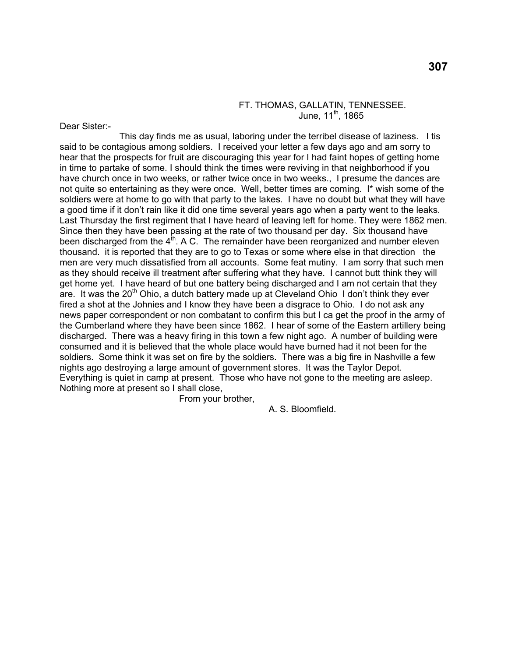## FT. THOMAS, GALLATIN, TENNESSEE. June,  $11^{th}$ , 1865

Dear Sister:-

 This day finds me as usual, laboring under the terribel disease of laziness. I tis said to be contagious among soldiers. I received your letter a few days ago and am sorry to hear that the prospects for fruit are discouraging this year for I had faint hopes of getting home in time to partake of some. I should think the times were reviving in that neighborhood if you have church once in two weeks, or rather twice once in two weeks., I presume the dances are not quite so entertaining as they were once. Well, better times are coming. I\* wish some of the soldiers were at home to go with that party to the lakes. I have no doubt but what they will have a good time if it don't rain like it did one time several years ago when a party went to the leaks. Last Thursday the first regiment that I have heard of leaving left for home. They were 1862 men. Since then they have been passing at the rate of two thousand per day. Six thousand have been discharged from the  $4<sup>th</sup>$ . A C. The remainder have been reorganized and number eleven thousand. it is reported that they are to go to Texas or some where else in that direction the men are very much dissatisfied from all accounts. Some feat mutiny. I am sorry that such men as they should receive ill treatment after suffering what they have. I cannot butt think they will get home yet. I have heard of but one battery being discharged and I am not certain that they are. It was the  $20<sup>th</sup>$  Ohio, a dutch battery made up at Cleveland Ohio I don't think they ever fired a shot at the Johnies and I know they have been a disgrace to Ohio. I do not ask any news paper correspondent or non combatant to confirm this but I ca get the proof in the army of the Cumberland where they have been since 1862. I hear of some of the Eastern artillery being discharged. There was a heavy firing in this town a few night ago. A number of building were consumed and it is believed that the whole place would have burned had it not been for the soldiers. Some think it was set on fire by the soldiers. There was a big fire in Nashville a few nights ago destroying a large amount of government stores. It was the Taylor Depot. Everything is quiet in camp at present. Those who have not gone to the meeting are asleep. Nothing more at present so I shall close,

From your brother,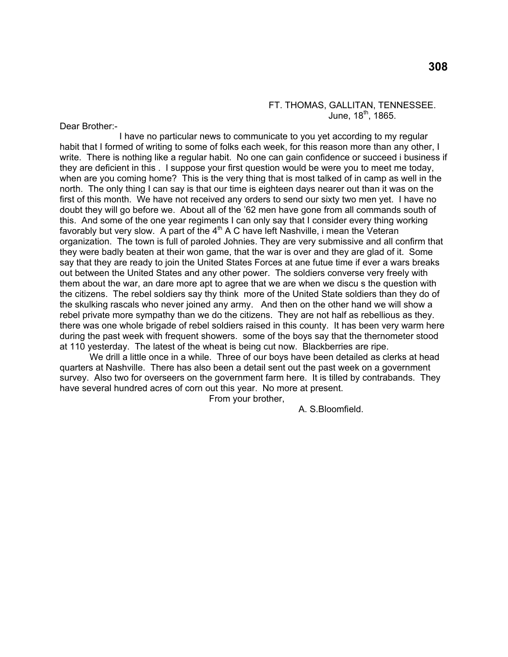### FT. THOMAS, GALLITAN, TENNESSEE. June,  $18^{th}$ , 1865.

Dear Brother:-

 I have no particular news to communicate to you yet according to my regular habit that I formed of writing to some of folks each week, for this reason more than any other, I write. There is nothing like a regular habit. No one can gain confidence or succeed i business if they are deficient in this . I suppose your first question would be were you to meet me today, when are you coming home? This is the very thing that is most talked of in camp as well in the north. The only thing I can say is that our time is eighteen days nearer out than it was on the first of this month. We have not received any orders to send our sixty two men yet. I have no doubt they will go before we. About all of the '62 men have gone from all commands south of this. And some of the one year regiments I can only say that I consider every thing working favorably but very slow. A part of the  $4<sup>th</sup>$  A C have left Nashville, i mean the Veteran organization. The town is full of paroled Johnies. They are very submissive and all confirm that they were badly beaten at their won game, that the war is over and they are glad of it. Some say that they are ready to join the United States Forces at ane futue time if ever a wars breaks out between the United States and any other power. The soldiers converse very freely with them about the war, an dare more apt to agree that we are when we discu s the question with the citizens. The rebel soldiers say thy think more of the United State soldiers than they do of the skulking rascals who never joined any army. And then on the other hand we will show a rebel private more sympathy than we do the citizens. They are not half as rebellious as they. there was one whole brigade of rebel soldiers raised in this county. It has been very warm here during the past week with frequent showers. some of the boys say that the thernometer stood at 110 yesterday. The latest of the wheat is being cut now. Blackberries are ripe.

 We drill a little once in a while. Three of our boys have been detailed as clerks at head quarters at Nashville. There has also been a detail sent out the past week on a government survey. Also two for overseers on the government farm here. It is tilled by contrabands. They have several hundred acres of corn out this year. No more at present.

From your brother,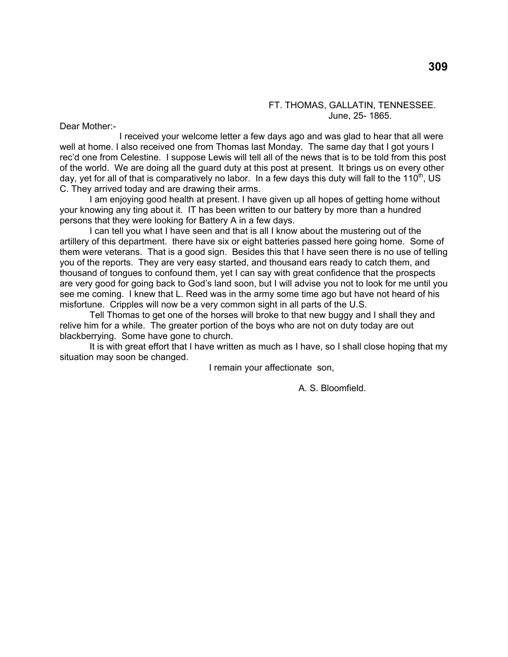### FT. THOMAS, GALLATIN, TENNESSEE. June, 25- 1865.

Dear Mother:-

 I received your welcome letter a few days ago and was glad to hear that all were well at home. I also received one from Thomas last Monday. The same day that I got yours I rec'd one from Celestine. I suppose Lewis will tell all of the news that is to be told from this post of the world. We are doing all the guard duty at this post at present. It brings us on every other day, yet for all of that is comparatively no labor. In a few days this duty will fall to the 110<sup>th</sup>, US C. They arrived today and are drawing their arms.

 I am enjoying good health at present. I have given up all hopes of getting home without your knowing any ting about it. IT has been written to our battery by more than a hundred persons that they were looking for Battery A in a few days.

 I can tell you what I have seen and that is all I know about the mustering out of the artillery of this department. there have six or eight batteries passed here going home. Some of them were veterans. That is a good sign. Besides this that I have seen there is no use of telling you of the reports. They are very easy started, and thousand ears ready to catch them, and thousand of tongues to confound them, yet I can say with great confidence that the prospects are very good for going back to God's land soon, but I will advise you not to look for me until you see me coming. I knew that L. Reed was in the army some time ago but have not heard of his misfortune. Cripples will now be a very common sight in all parts of the U.S.

 Tell Thomas to get one of the horses will broke to that new buggy and I shall they and relive him for a while. The greater portion of the boys who are not on duty today are out blackberrying. Some have gone to church.

 It is with great effort that I have written as much as I have, so I shall close hoping that my situation may soon be changed.

I remain your affectionate son,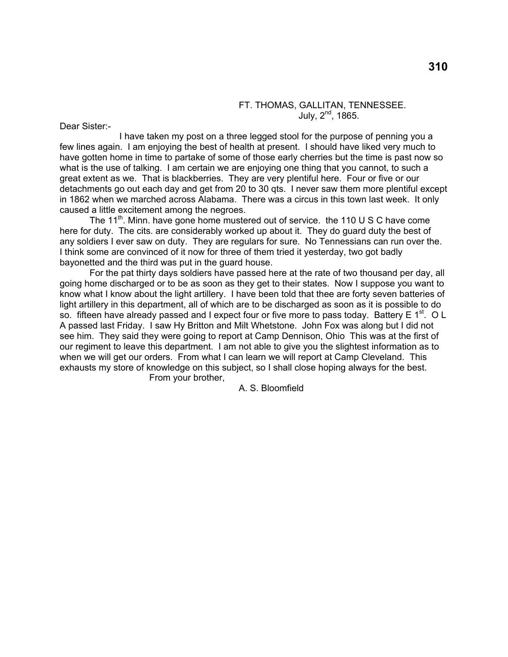### FT. THOMAS, GALLITAN, TENNESSEE. July,  $2^{nd}$ , 1865.

Dear Sister:-

 I have taken my post on a three legged stool for the purpose of penning you a few lines again. I am enjoying the best of health at present. I should have liked very much to have gotten home in time to partake of some of those early cherries but the time is past now so what is the use of talking. I am certain we are enjoying one thing that you cannot, to such a great extent as we. That is blackberries. They are very plentiful here. Four or five or our detachments go out each day and get from 20 to 30 qts. I never saw them more plentiful except in 1862 when we marched across Alabama. There was a circus in this town last week. It only caused a little excitement among the negroes.

The 11<sup>th</sup>. Minn. have gone home mustered out of service. the 110 U S C have come here for duty. The cits. are considerably worked up about it. They do guard duty the best of any soldiers I ever saw on duty. They are regulars for sure. No Tennessians can run over the. I think some are convinced of it now for three of them tried it yesterday, two got badly bayonetted and the third was put in the guard house.

 For the pat thirty days soldiers have passed here at the rate of two thousand per day, all going home discharged or to be as soon as they get to their states. Now I suppose you want to know what I know about the light artillery. I have been told that thee are forty seven batteries of light artillery in this department, all of which are to be discharged as soon as it is possible to do so. fifteen have already passed and I expect four or five more to pass today. Battery E  $1^{st}$ . O L A passed last Friday. I saw Hy Britton and Milt Whetstone. John Fox was along but I did not see him. They said they were going to report at Camp Dennison, Ohio This was at the first of our regiment to leave this department. I am not able to give you the slightest information as to when we will get our orders. From what I can learn we will report at Camp Cleveland. This exhausts my store of knowledge on this subject, so I shall close hoping always for the best. From your brother,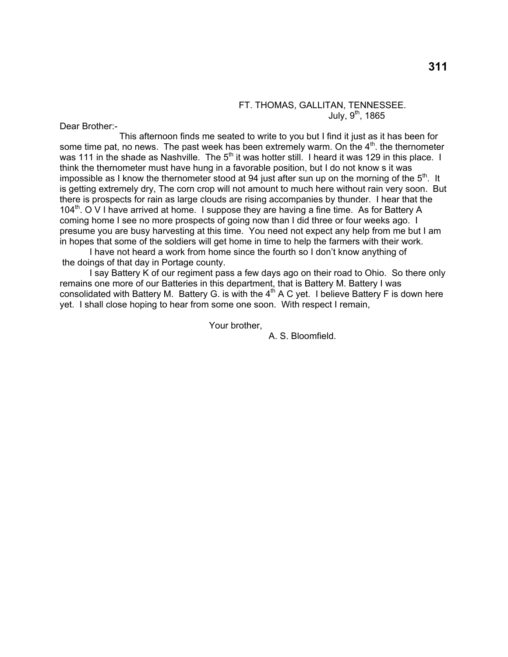## FT. THOMAS, GALLITAN, TENNESSEE. July,  $9^{\text{th}}$ , 1865

Dear Brother:-

This afternoon finds me seated to write to you but I find it just as it has been for some time pat, no news. The past week has been extremely warm. On the  $4<sup>th</sup>$ , the thernometer was 111 in the shade as Nashville. The  $5<sup>th</sup>$  it was hotter still. I heard it was 129 in this place. I think the thernometer must have hung in a favorable position, but I do not know s it was impossible as I know the thernometer stood at 94 just after sun up on the morning of the  $5<sup>th</sup>$ . It is getting extremely dry, The corn crop will not amount to much here without rain very soon. But there is prospects for rain as large clouds are rising accompanies by thunder. I hear that the 104<sup>th</sup>. O V I have arrived at home. I suppose they are having a fine time. As for Battery A coming home I see no more prospects of going now than I did three or four weeks ago. I presume you are busy harvesting at this time. You need not expect any help from me but I am in hopes that some of the soldiers will get home in time to help the farmers with their work.

I have not heard a work from home since the fourth so I don't know anything of the doings of that day in Portage county.

I say Battery K of our regiment pass a few days ago on their road to Ohio. So there only remains one more of our Batteries in this department, that is Battery M. Battery I was consolidated with Battery M. Battery G. is with the  $4<sup>th</sup>$  A C yet. I believe Battery F is down here yet. I shall close hoping to hear from some one soon. With respect I remain,

Your brother,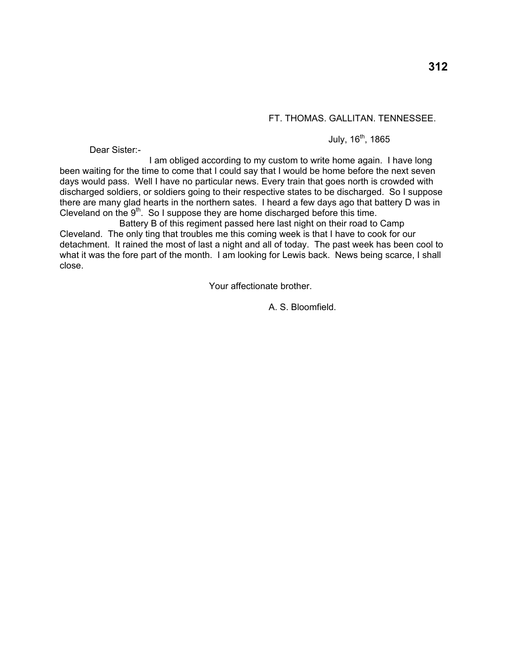# FT. THOMAS. GALLITAN. TENNESSEE.

# July,  $16^{th}$ , 1865

Dear Sister:-

 I am obliged according to my custom to write home again. I have long been waiting for the time to come that I could say that I would be home before the next seven days would pass. Well I have no particular news. Every train that goes north is crowded with discharged soldiers, or soldiers going to their respective states to be discharged. So I suppose there are many glad hearts in the northern sates. I heard a few days ago that battery D was in Cleveland on the  $9<sup>th</sup>$ . So I suppose they are home discharged before this time.

 Battery B of this regiment passed here last night on their road to Camp Cleveland. The only ting that troubles me this coming week is that I have to cook for our detachment. It rained the most of last a night and all of today. The past week has been cool to what it was the fore part of the month. I am looking for Lewis back. News being scarce, I shall close.

Your affectionate brother.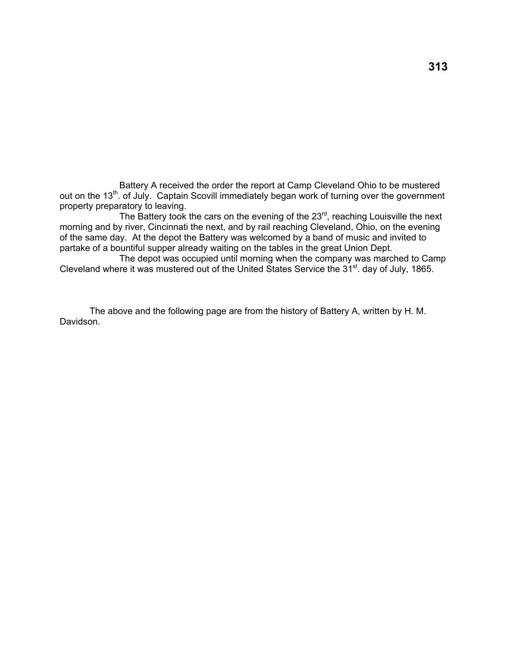Battery A received the order the report at Camp Cleveland Ohio to be mustered out on the 13th. of July. Captain Scovill immediately began work of turning over the government property preparatory to leaving.

The Battery took the cars on the evening of the 23<sup>rd</sup>, reaching Louisville the next morning and by river, Cincinnati the next, and by rail reaching Cleveland, Ohio, on the evening of the same day. At the depot the Battery was welcomed by a band of music and invited to partake of a bountiful supper already waiting on the tables in the great Union Dept.

 The depot was occupied until morning when the company was marched to Camp Cleveland where it was mustered out of the United States Service the 31<sup>st</sup>. day of July, 1865.

The above and the following page are from the history of Battery A, written by H. M. Davidson.